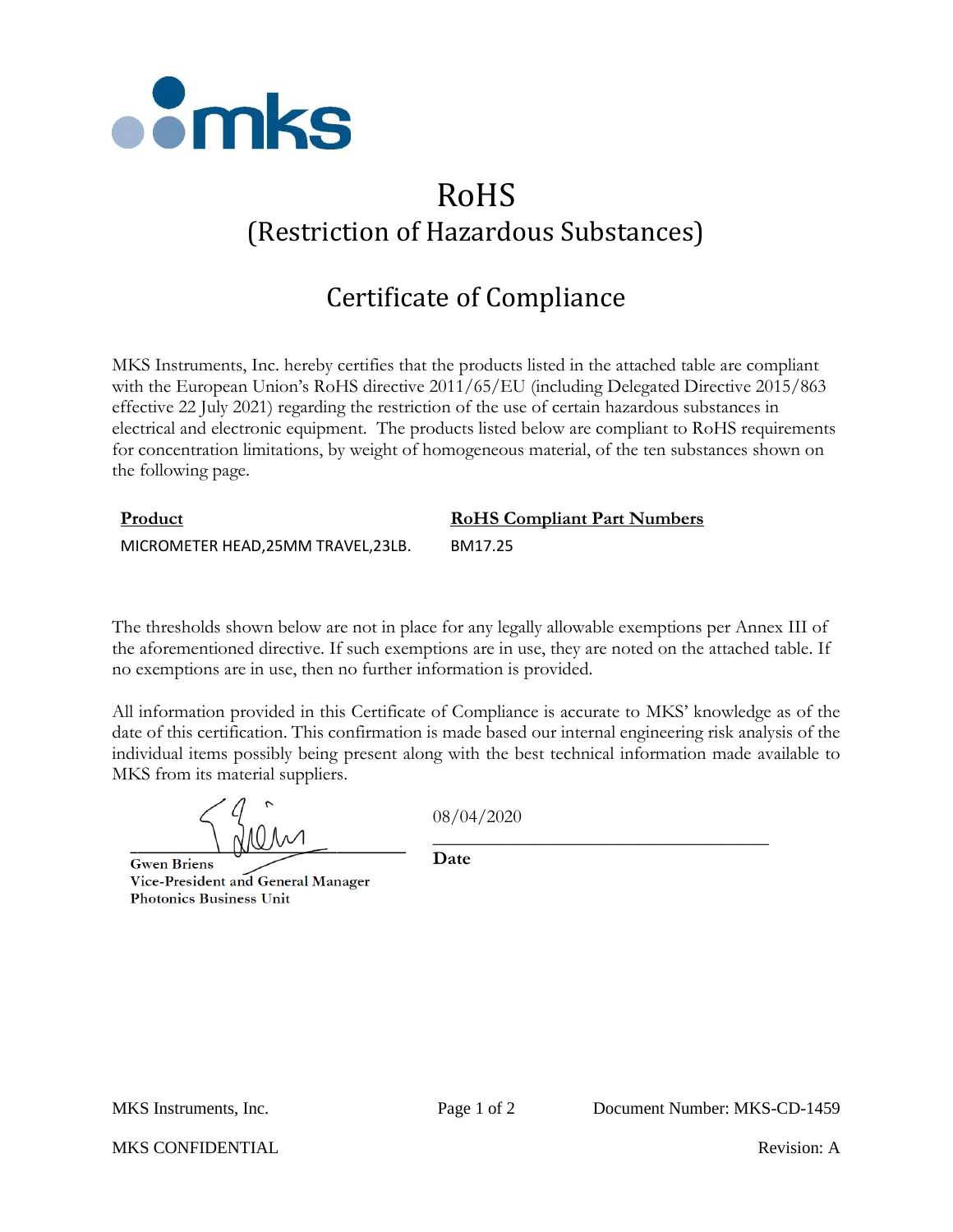

## RoHS (Restriction of Hazardous Substances)

## Certificate of Compliance

MKS Instruments, Inc. hereby certifies that the products listed in the attached table are compliant with the European Union's RoHS directive 2011/65/EU (including Delegated Directive 2015/863 effective 22 July 2021) regarding the restriction of the use of certain hazardous substances in electrical and electronic equipment. The products listed below are compliant to RoHS requirements for concentration limitations, by weight of homogeneous material, of the ten substances shown on the following page.

| Product                             | <b>RoHS Compliant Part Numbers</b> |  |
|-------------------------------------|------------------------------------|--|
| MICROMETER HEAD, 25MM TRAVEL, 23LB. | BM17.25                            |  |

The thresholds shown below are not in place for any legally allowable exemptions per Annex III of the aforementioned directive. If such exemptions are in use, they are noted on the attached table. If no exemptions are in use, then no further information is provided.

All information provided in this Certificate of Compliance is accurate to MKS' knowledge as of the date of this certification. This confirmation is made based our internal engineering risk analysis of the individual items possibly being present along with the best technical information made available to MKS from its material suppliers.

**Gwen Briens** Vice-President and General Manager **Photonics Business Unit** 

08/04/2020

\_\_\_\_\_\_\_\_\_\_\_\_\_\_\_\_\_\_\_\_\_\_\_\_\_\_\_\_\_\_\_\_\_\_\_\_

**Date**